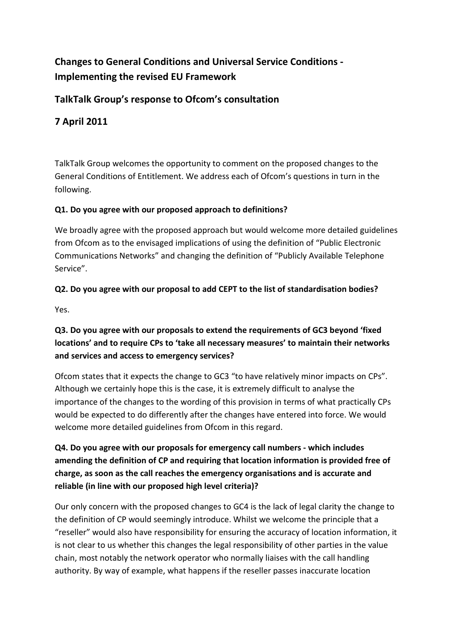# **Changes to General Conditions and Universal Service Conditions - Implementing the revised EU Framework**

## **TalkTalk Group's response to Ofcom's consultation**

## **7 April 2011**

TalkTalk Group welcomes the opportunity to comment on the proposed changes to the General Conditions of Entitlement. We address each of Ofcom's questions in turn in the following.

#### **Q1. Do you agree with our proposed approach to definitions?**

We broadly agree with the proposed approach but would welcome more detailed guidelines from Ofcom as to the envisaged implications of using the definition of "Public Electronic Communications Networks" and changing the definition of "Publicly Available Telephone Service".

#### **Q2. Do you agree with our proposal to add CEPT to the list of standardisation bodies?**

Yes.

## **Q3. Do you agree with our proposals to extend the requirements of GC3 beyond 'fixed locations' and to require CPs to 'take all necessary measures' to maintain their networks and services and access to emergency services?**

Ofcom states that it expects the change to GC3 "to have relatively minor impacts on CPs". Although we certainly hope this is the case, it is extremely difficult to analyse the importance of the changes to the wording of this provision in terms of what practically CPs would be expected to do differently after the changes have entered into force. We would welcome more detailed guidelines from Ofcom in this regard.

## **Q4. Do you agree with our proposals for emergency call numbers - which includes amending the definition of CP and requiring that location information is provided free of charge, as soon as the call reaches the emergency organisations and is accurate and reliable (in line with our proposed high level criteria)?**

Our only concern with the proposed changes to GC4 is the lack of legal clarity the change to the definition of CP would seemingly introduce. Whilst we welcome the principle that a "reseller" would also have responsibility for ensuring the accuracy of location information, it is not clear to us whether this changes the legal responsibility of other parties in the value chain, most notably the network operator who normally liaises with the call handling authority. By way of example, what happens if the reseller passes inaccurate location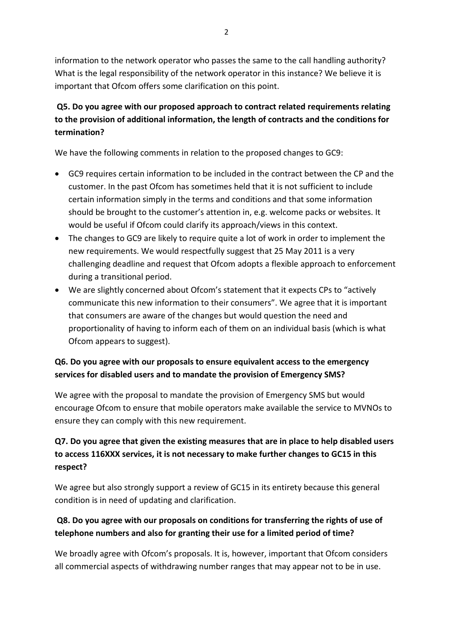information to the network operator who passes the same to the call handling authority? What is the legal responsibility of the network operator in this instance? We believe it is important that Ofcom offers some clarification on this point.

## **Q5. Do you agree with our proposed approach to contract related requirements relating to the provision of additional information, the length of contracts and the conditions for termination?**

We have the following comments in relation to the proposed changes to GC9:

- GC9 requires certain information to be included in the contract between the CP and the customer. In the past Ofcom has sometimes held that it is not sufficient to include certain information simply in the terms and conditions and that some information should be brought to the customer's attention in, e.g. welcome packs or websites. It would be useful if Ofcom could clarify its approach/views in this context.
- The changes to GC9 are likely to require quite a lot of work in order to implement the new requirements. We would respectfully suggest that 25 May 2011 is a very challenging deadline and request that Ofcom adopts a flexible approach to enforcement during a transitional period.
- We are slightly concerned about Ofcom's statement that it expects CPs to "actively communicate this new information to their consumers". We agree that it is important that consumers are aware of the changes but would question the need and proportionality of having to inform each of them on an individual basis (which is what Ofcom appears to suggest).

#### **Q6. Do you agree with our proposals to ensure equivalent access to the emergency services for disabled users and to mandate the provision of Emergency SMS?**

We agree with the proposal to mandate the provision of Emergency SMS but would encourage Ofcom to ensure that mobile operators make available the service to MVNOs to ensure they can comply with this new requirement.

## **Q7. Do you agree that given the existing measures that are in place to help disabled users to access 116XXX services, it is not necessary to make further changes to GC15 in this respect?**

We agree but also strongly support a review of GC15 in its entirety because this general condition is in need of updating and clarification.

#### **Q8. Do you agree with our proposals on conditions for transferring the rights of use of telephone numbers and also for granting their use for a limited period of time?**

We broadly agree with Ofcom's proposals. It is, however, important that Ofcom considers all commercial aspects of withdrawing number ranges that may appear not to be in use.